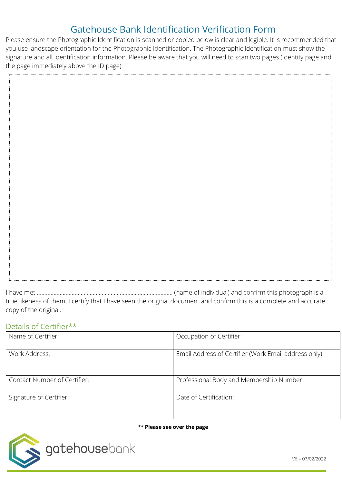# Gatehouse Bank Identification Verification Form

Please ensure the Photographic Identification is scanned or copied below is clear and legible. It is recommended that you use landscape orientation for the Photographic Identification. The Photographic Identification must show the signature and all Identification information. Please be aware that you will need to scan two pages (Identity page and the page immediately above the ID page)

I have met ……………………………………………………………………………… (name of individual) and confirm this photograph is a true likeness of them. I certify that I have seen the original document and confirm this is a complete and accurate copy of the original.

### Details of Certifier\*\*

| Name of Certifier:           | Occupation of Certifier:                              |
|------------------------------|-------------------------------------------------------|
| Work Address:                | Email Address of Certifier (Work Email address only): |
| Contact Number of Certifier: | Professional Body and Membership Number:              |
| Signature of Certifier:      | Date of Certification:                                |

#### **\*\* Please see over the page**